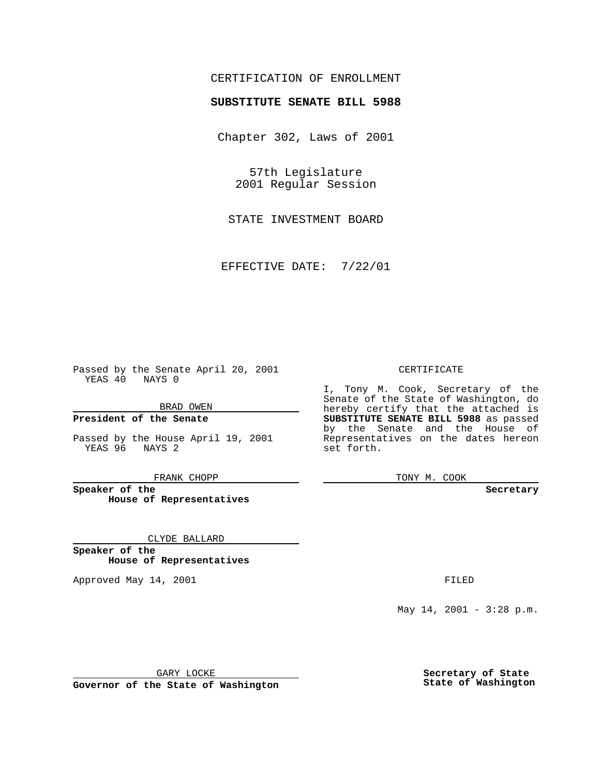## CERTIFICATION OF ENROLLMENT

# **SUBSTITUTE SENATE BILL 5988**

Chapter 302, Laws of 2001

57th Legislature 2001 Regular Session

STATE INVESTMENT BOARD

EFFECTIVE DATE: 7/22/01

Passed by the Senate April 20, 2001 YEAS 40 NAYS 0

BRAD OWEN

**President of the Senate**

Passed by the House April 19, 2001 YEAS 96 NAYS 2

FRANK CHOPP

**Speaker of the House of Representatives**

CLYDE BALLARD

**Speaker of the House of Representatives**

Approved May 14, 2001 **FILED** 

## CERTIFICATE

I, Tony M. Cook, Secretary of the Senate of the State of Washington, do hereby certify that the attached is **SUBSTITUTE SENATE BILL 5988** as passed by the Senate and the House of Representatives on the dates hereon set forth.

TONY M. COOK

#### **Secretary**

May 14, 2001 - 3:28 p.m.

GARY LOCKE

**Governor of the State of Washington**

**Secretary of State State of Washington**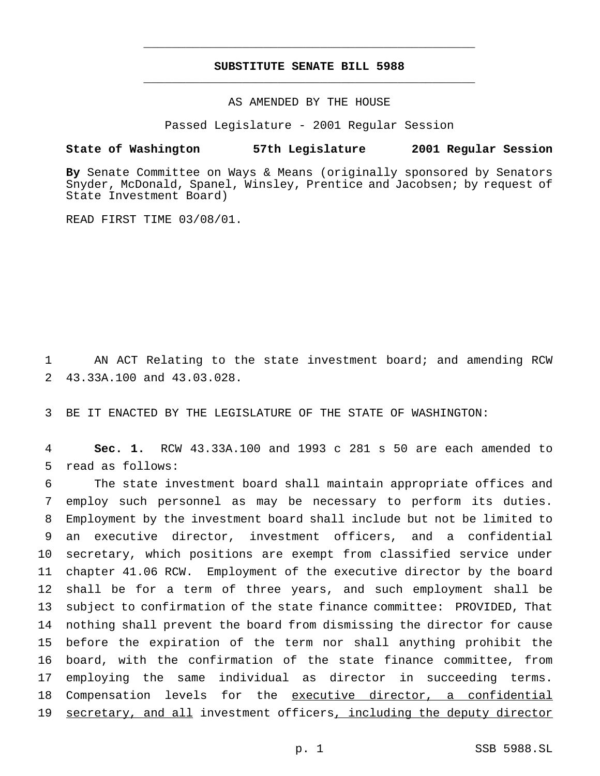# **SUBSTITUTE SENATE BILL 5988** \_\_\_\_\_\_\_\_\_\_\_\_\_\_\_\_\_\_\_\_\_\_\_\_\_\_\_\_\_\_\_\_\_\_\_\_\_\_\_\_\_\_\_\_\_\_\_

\_\_\_\_\_\_\_\_\_\_\_\_\_\_\_\_\_\_\_\_\_\_\_\_\_\_\_\_\_\_\_\_\_\_\_\_\_\_\_\_\_\_\_\_\_\_\_

AS AMENDED BY THE HOUSE

Passed Legislature - 2001 Regular Session

## **State of Washington 57th Legislature 2001 Regular Session**

**By** Senate Committee on Ways & Means (originally sponsored by Senators Snyder, McDonald, Spanel, Winsley, Prentice and Jacobsen; by request of State Investment Board)

READ FIRST TIME 03/08/01.

 AN ACT Relating to the state investment board; and amending RCW 43.33A.100 and 43.03.028.

BE IT ENACTED BY THE LEGISLATURE OF THE STATE OF WASHINGTON:

 **Sec. 1.** RCW 43.33A.100 and 1993 c 281 s 50 are each amended to read as follows:

 The state investment board shall maintain appropriate offices and employ such personnel as may be necessary to perform its duties. Employment by the investment board shall include but not be limited to an executive director, investment officers, and a confidential secretary, which positions are exempt from classified service under chapter 41.06 RCW. Employment of the executive director by the board shall be for a term of three years, and such employment shall be subject to confirmation of the state finance committee: PROVIDED, That nothing shall prevent the board from dismissing the director for cause before the expiration of the term nor shall anything prohibit the board, with the confirmation of the state finance committee, from employing the same individual as director in succeeding terms. Compensation levels for the executive director, a confidential secretary, and all investment officers, including the deputy director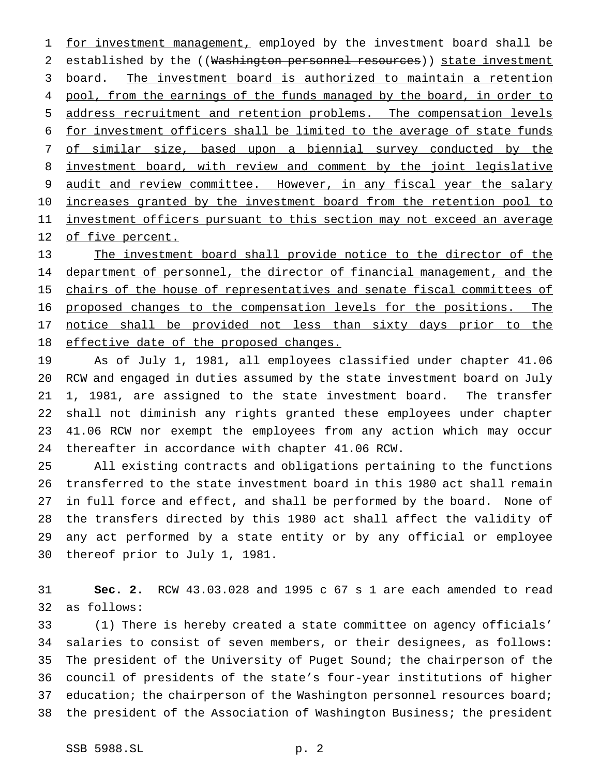1 for investment management, employed by the investment board shall be 2 established by the ((Washington personnel resources)) state investment board. The investment board is authorized to maintain a retention 4 pool, from the earnings of the funds managed by the board, in order to address recruitment and retention problems. The compensation levels for investment officers shall be limited to the average of state funds of similar size, based upon a biennial survey conducted by the investment board, with review and comment by the joint legislative 9 audit and review committee. However, in any fiscal year the salary 10 increases granted by the investment board from the retention pool to 11 investment officers pursuant to this section may not exceed an average 12 of five percent.

 The investment board shall provide notice to the director of the 14 department of personnel, the director of financial management, and the 15 chairs of the house of representatives and senate fiscal committees of proposed changes to the compensation levels for the positions. The 17 notice shall be provided not less than sixty days prior to the 18 effective date of the proposed changes.

 As of July 1, 1981, all employees classified under chapter 41.06 RCW and engaged in duties assumed by the state investment board on July 1, 1981, are assigned to the state investment board. The transfer shall not diminish any rights granted these employees under chapter 41.06 RCW nor exempt the employees from any action which may occur thereafter in accordance with chapter 41.06 RCW.

 All existing contracts and obligations pertaining to the functions transferred to the state investment board in this 1980 act shall remain in full force and effect, and shall be performed by the board. None of the transfers directed by this 1980 act shall affect the validity of any act performed by a state entity or by any official or employee thereof prior to July 1, 1981.

 **Sec. 2.** RCW 43.03.028 and 1995 c 67 s 1 are each amended to read as follows:

 (1) There is hereby created a state committee on agency officials' salaries to consist of seven members, or their designees, as follows: The president of the University of Puget Sound; the chairperson of the council of presidents of the state's four-year institutions of higher 37 education; the chairperson of the Washington personnel resources board; the president of the Association of Washington Business; the president